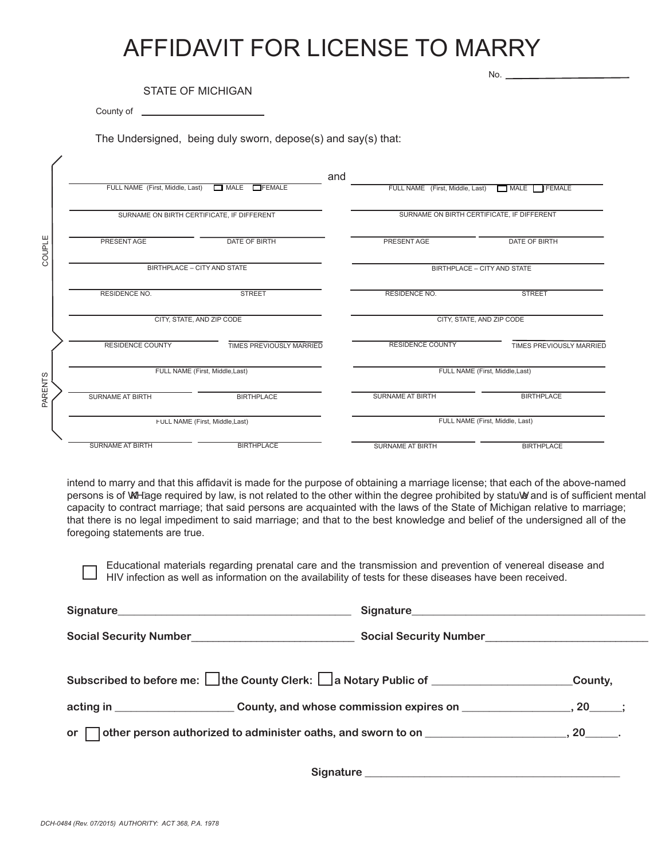# AFFIDAVIT FOR LICENSE TO MARRY

STATE OF MICHIGAN

County of <u>examed and the set of the set of the set of the set of the set of the set of the set of the set of the set of the set of the set of the set of the set of the set of the set of the set of the set of the set of th</u>

No.

The Undersigned, being duly sworn, depose(s) and say(s) that:

|                          | and<br>FULL NAME (First, Middle, Last)<br>MATE<br><b>TFEMALE</b><br>SURNAME ON BIRTH CERTIFICATE, IF DIFFERENT |                          | FULL NAME (First, Middle, Last)            | MALE FEMALE                        |  |
|--------------------------|----------------------------------------------------------------------------------------------------------------|--------------------------|--------------------------------------------|------------------------------------|--|
|                          |                                                                                                                |                          | SURNAME ON BIRTH CERTIFICATE, IF DIFFERENT |                                    |  |
|                          | PRESENT AGE                                                                                                    | <b>DATE OF BIRTH</b>     | PRESENT AGE                                | DATE OF BIRTH                      |  |
| COUPLE<br><b>PARENTS</b> | BIRTHPLACE - CITY AND STATE                                                                                    |                          |                                            | <b>BIRTHPLACE - CITY AND STATE</b> |  |
|                          | <b>RESIDENCE NO.</b>                                                                                           | <b>STREET</b>            | <b>RESIDENCE NO.</b>                       | <b>STREET</b>                      |  |
|                          | CITY, STATE, AND ZIP CODE                                                                                      |                          |                                            | CITY, STATE, AND ZIP CODE          |  |
|                          | <b>RESIDENCE COUNTY</b>                                                                                        | TIMES PREVIOUSLY MARRIED | <b>RESIDENCE COUNTY</b>                    | <b>TIMES PREVIOUSLY MARRIED</b>    |  |
|                          | FULL NAME (First, Middle, Last)                                                                                |                          |                                            | FULL NAME (First, Middle, Last)    |  |
|                          | <b>SURNAME AT BIRTH</b>                                                                                        | <b>BIRTHPLACE</b>        | <b>SURNAME AT BIRTH</b>                    | <b>BIRTHPLACE</b>                  |  |
|                          | FULL NAME (First, Middle, Last)                                                                                |                          | FULL NAME (First, Middle, Last)            |                                    |  |
|                          | <b>SURNAME AT BIRTH</b>                                                                                        | <b>BIRTHPLACE</b>        | <b>SURNAME AT BIRTH</b>                    | <b>BIRTHPLACE</b>                  |  |

intend to marry and that this affidavit is made for the purpose of obtaining a marriage license; that each of the above-named persons is of  $\mathbb{Q}\mathbb{A}$  ge required by law, is not related to the other within the degree prohibited by statuœ and is of sufficient mental capacity to contract marriage; that said persons are acquainted with the laws of the State of Michigan relative to marriage; that there is no legal impediment to said marriage; and that to the best knowledge and belief of the undersigned all of the foregoing statements are true.

Educational materials regarding prenatal care and the transmission and prevention of venereal disease and Educational materials regarding protratal only also also the according to the property of tests for these diseases have been received.

| Signature Signature and Signature and Signature and Signature and Signature and Signature and Signature and Si |         |         |
|----------------------------------------------------------------------------------------------------------------|---------|---------|
| Social Security Number<br>Social Security Number<br>Social Security Number                                     |         |         |
| Subscribed to before me: □the County Clerk: □ a Notary Public of _______________                               | County, |         |
| acting in ____________________________County, and whose commission expires on _____________________            |         | $.20$ : |
|                                                                                                                |         |         |

 **Signature \_\_\_\_\_\_\_\_\_\_\_\_\_\_\_\_\_\_\_\_\_\_\_\_\_\_\_\_\_\_\_\_\_\_\_\_\_\_\_\_\_\_\_\_\_\_\_**